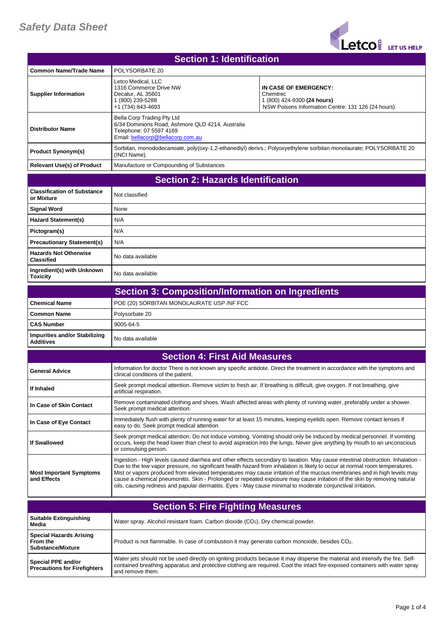

| <b>Section 1: Identification</b>         |                                                                                                                                                |                                                                                                                        |  |
|------------------------------------------|------------------------------------------------------------------------------------------------------------------------------------------------|------------------------------------------------------------------------------------------------------------------------|--|
| <b>Common Name/Trade Name</b>            | POLYSORBATE 20                                                                                                                                 |                                                                                                                        |  |
| <b>Supplier Information</b>              | Letco Medical, LLC<br>1316 Commerce Drive NW<br>Decatur, AL 35601<br>1 (800) 239-5288<br>+1 (734) 843-4693                                     | IN CASE OF EMERGENCY:<br>Chemtrec<br>1 (800) 424-9300 (24 hours)<br>NSW Poisons Information Centre: 131 126 (24 hours) |  |
| <b>Distributor Name</b>                  | Bella Corp Trading Pty Ltd<br>6/34 Dominions Road, Ashmore QLD 4214, Australia<br>Telephone: 07 5597 4169<br>Email: bellacorp@bellacorp.com.au |                                                                                                                        |  |
| <b>Product Synonym(s)</b>                | Sorbitan, monododecanoate, poly(oxy-1,2-ethanediyl) derivs.; Polyoxyethylene sorbitan monolaurate; POLYSORBATE 20<br>(INCI Name).              |                                                                                                                        |  |
| <b>Relevant Use(s) of Product</b>        | Manufacture or Compounding of Substances                                                                                                       |                                                                                                                        |  |
| <b>Section 2: Hazards Identification</b> |                                                                                                                                                |                                                                                                                        |  |

| <b>Classification of Substance</b><br>or Mixture  | Not classified    |
|---------------------------------------------------|-------------------|
| <b>Signal Word</b>                                | None              |
| <b>Hazard Statement(s)</b>                        | N/A               |
| Pictogram(s)                                      | N/A               |
| <b>Precautionary Statement(s)</b>                 | N/A               |
| <b>Hazards Not Otherwise</b><br><b>Classified</b> | No data available |
| Ingredient(s) with Unknown<br><b>Toxicity</b>     | No data available |

| Section 3: Composition/Information on Ingredients |                                           |  |  |
|---------------------------------------------------|-------------------------------------------|--|--|
| l Chemical Name                                   | POE (20) SORBITAN MONOLAURATE USP /NF FCC |  |  |
| l Common Name                                     | Polysorbate 20                            |  |  |
| l CAS Number                                      | 9005-64-5                                 |  |  |
| Impurities and/or Stabilizing<br><b>Additives</b> | I No data available                       |  |  |

| <b>Section 4: First Aid Measures</b>          |                                                                                                                                                                                                                                                                                                                                                                                                                                                                                                                                                                                                                                     |  |  |
|-----------------------------------------------|-------------------------------------------------------------------------------------------------------------------------------------------------------------------------------------------------------------------------------------------------------------------------------------------------------------------------------------------------------------------------------------------------------------------------------------------------------------------------------------------------------------------------------------------------------------------------------------------------------------------------------------|--|--|
| <b>General Advice</b>                         | Information for doctor There is not known any specific antidote. Direct the treatment in accordance with the symptoms and<br>clinical conditions of the patient.                                                                                                                                                                                                                                                                                                                                                                                                                                                                    |  |  |
| If Inhaled                                    | Seek prompt medical attention. Remove victim to fresh air. If breathing is difficult, give oxygen. If not breathing, give<br>artificial respiration.                                                                                                                                                                                                                                                                                                                                                                                                                                                                                |  |  |
| In Case of Skin Contact                       | Remove contaminated clothing and shoes. Wash affected areas with plenty of running water, preferably under a shower.<br>Seek prompt medical attention.                                                                                                                                                                                                                                                                                                                                                                                                                                                                              |  |  |
| In Case of Eye Contact                        | Immediately flush with plenty of running water for at least 15 minutes, keeping eyelids open. Remove contact lenses if<br>easy to do. Seek prompt medical attention.                                                                                                                                                                                                                                                                                                                                                                                                                                                                |  |  |
| <b>If Swallowed</b>                           | Seek prompt medical attention. Do not induce vomiting. Vomiting should only be induced by medical personnel. If vomiting<br>occurs, keep the head lower than chest to avoid aspiration into the lungs. Never give anything by mouth to an unconscious<br>or convulsing person.                                                                                                                                                                                                                                                                                                                                                      |  |  |
| <b>Most Important Symptoms</b><br>and Effects | Ingestion - High levels caused diarrhea and other effects secondary to laxation. May cause intestinal obstruction. Inhalation -<br>Due to the low vapor pressure, no significant health hazard from inhalation is likely to occur at normal room temperatures.<br>Mist or vapors produced from elevated temperatures may cause irritation of the mucous membranes and in high levels may<br>cause a chemical pneumonitis. Skin - Prolonged or repeated exposure may cause irritation of the skin by removing natural<br>oils, causing redness and papular dermatitis. Eyes - May cause minimal to moderate conjunctival irritation. |  |  |

| <b>Section 5: Fire Fighting Measures</b>                               |                                                                                                                                                                                                                                                                                    |  |  |
|------------------------------------------------------------------------|------------------------------------------------------------------------------------------------------------------------------------------------------------------------------------------------------------------------------------------------------------------------------------|--|--|
| Suitable Extinguishing<br>Media                                        | Water spray. Alcohol resistant foam. Carbon dioxide (CO <sub>2</sub> ). Dry chemical powder.                                                                                                                                                                                       |  |  |
| <b>Special Hazards Arising</b><br>From the<br><b>Substance/Mixture</b> | Product is not flammable. In case of combustion it may generate carbon monoxide, besides CO <sub>2</sub> .                                                                                                                                                                         |  |  |
| Special PPE and/or<br><b>Precautions for Firefighters</b>              | Water jets should not be used directly on igniting products because it may disperse the material and intensify the fire. Self-<br>contained breathing apparatus and protective clothing are required. Cool the intact fire-exposed containers with water spray<br>and remove them. |  |  |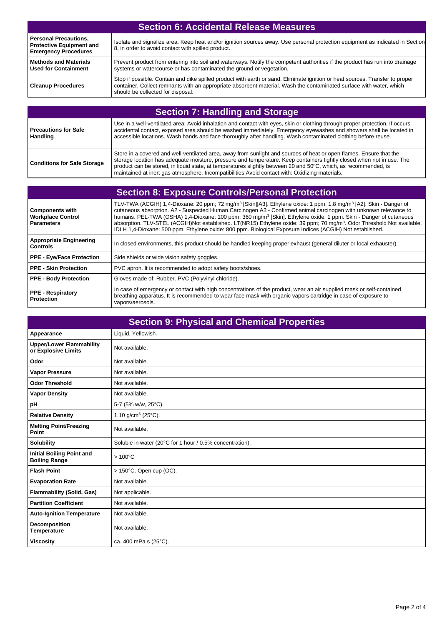| <b>Section 6: Accidental Release Measures</b>                                                  |                                                                                                                                                                                                                                                                                           |  |  |
|------------------------------------------------------------------------------------------------|-------------------------------------------------------------------------------------------------------------------------------------------------------------------------------------------------------------------------------------------------------------------------------------------|--|--|
| <b>Personal Precautions,</b><br><b>Protective Equipment and</b><br><b>Emergency Procedures</b> | Isolate and signalize area. Keep heat and/or ignition sources away. Use personal protection equipment as indicated in Section<br>8, in order to avoid contact with spilled product.                                                                                                       |  |  |
| <b>Methods and Materials</b><br><b>Used for Containment</b>                                    | Prevent product from entering into soil and waterways. Notify the competent authorities if the product has run into drainage<br>systems or watercourse or has contaminated the ground or vegetation.                                                                                      |  |  |
| <b>Cleanup Procedures</b>                                                                      | Stop if possible. Contain and dike spilled product with earth or sand. Eliminate ignition or heat sources. Transfer to proper<br>container. Collect remnants with an appropriate absorbent material. Wash the contaminated surface with water, which<br>should be collected for disposal. |  |  |

| <b>Section 7: Handling and Storage</b>  |                                                                                                                                                                                                                                                                                                                                                                                                                                                                   |  |  |
|-----------------------------------------|-------------------------------------------------------------------------------------------------------------------------------------------------------------------------------------------------------------------------------------------------------------------------------------------------------------------------------------------------------------------------------------------------------------------------------------------------------------------|--|--|
| Precautions for Safe<br><b>Handling</b> | Use in a well-ventilated area. Avoid inhalation and contact with eyes, skin or clothing through proper protection. If occurs<br>accidental contact, exposed area should be washed immediately. Emergency eyewashes and showers shall be located in<br>accessible locations. Wash hands and face thoroughly after handling. Wash contaminated clothing before reuse.                                                                                               |  |  |
| <b>Conditions for Safe Storage</b>      | Store in a covered and well-ventilated area, away from sunlight and sources of heat or open flames. Ensure that the<br>storage location has adequate moisture, pressure and temperature. Keep containers tightly closed when not in use. The<br>product can be stored, in liquid state, at temperatures slightly between 20 and 50°C, which, as recommended, is<br>maintained at inert gas atmosphere. Incompatibilities Avoid contact with: Oxidizing materials. |  |  |

| <b>Section 8: Exposure Controls/Personal Protection</b>                 |                                                                                                                                                                                                                                                                                                                                                                                                                                                                                                                                                                                                                                                 |  |  |
|-------------------------------------------------------------------------|-------------------------------------------------------------------------------------------------------------------------------------------------------------------------------------------------------------------------------------------------------------------------------------------------------------------------------------------------------------------------------------------------------------------------------------------------------------------------------------------------------------------------------------------------------------------------------------------------------------------------------------------------|--|--|
| <b>Components with</b><br><b>Workplace Control</b><br><b>Parameters</b> | TLV-TWA (ACGIH) 1,4-Dioxane: 20 ppm; 72 mg/m <sup>3</sup> [Skin][A3]. Ethylene oxide: 1 ppm; 1.8 mg/m <sup>3</sup> [A2]. Skin - Danger of<br>cutaneous absorption. A2 - Suspected Human Carcinogen A3 - Confirmed animal carcinogen with unknown relevance to<br>humans. PEL-TWA (OSHA) 1,4-Dioxane: 100 ppm; 360 mg/m <sup>3</sup> [Skin]. Ethylene oxide: 1 ppm. Skin - Danger of cutaneous<br>absorption. TLV-STEL (ACGIH)Not established. LT(NR15) Ethylene oxide: 39 ppm; 70 mq/m <sup>3</sup> . Odor Threshold Not available.<br>IDLH 1,4-Dioxane: 500 ppm. Ethylene oxide: 800 ppm. Biological Exposure Indices (ACGIH) Not established. |  |  |
| <b>Appropriate Engineering</b><br><b>Controls</b>                       | In closed environments, this product should be handled keeping proper exhaust (general diluter or local exhauster).                                                                                                                                                                                                                                                                                                                                                                                                                                                                                                                             |  |  |
| <b>PPE - Eye/Face Protection</b>                                        | Side shields or wide vision safety goggles.                                                                                                                                                                                                                                                                                                                                                                                                                                                                                                                                                                                                     |  |  |
| <b>PPE - Skin Protection</b>                                            | PVC apron. It is recommended to adopt safety boots/shoes.                                                                                                                                                                                                                                                                                                                                                                                                                                                                                                                                                                                       |  |  |
| <b>PPE - Body Protection</b>                                            | Gloves made of: Rubber. PVC (Polyvinyl chloride).                                                                                                                                                                                                                                                                                                                                                                                                                                                                                                                                                                                               |  |  |
| <b>PPE - Respiratory</b><br><b>Protection</b>                           | In case of emergency or contact with high concentrations of the product, wear an air supplied mask or self-contained<br>breathing apparatus. It is recommended to wear face mask with organic vapors cartridge in case of exposure to<br>vapors/aerosols.                                                                                                                                                                                                                                                                                                                                                                                       |  |  |

| <b>Section 9: Physical and Chemical Properties</b>       |                                                          |  |  |
|----------------------------------------------------------|----------------------------------------------------------|--|--|
| Appearance                                               | Liquid. Yellowish.                                       |  |  |
| <b>Upper/Lower Flammability</b><br>or Explosive Limits   | Not available.                                           |  |  |
| Odor                                                     | Not available.                                           |  |  |
| <b>Vapor Pressure</b>                                    | Not available.                                           |  |  |
| <b>Odor Threshold</b>                                    | Not available.                                           |  |  |
| <b>Vapor Density</b>                                     | Not available.                                           |  |  |
| pH                                                       | 5-7 (5% w/w, 25°C).                                      |  |  |
| <b>Relative Density</b>                                  | 1.10 g/cm <sup>3</sup> (25 $^{\circ}$ C).                |  |  |
| <b>Melting Point/Freezing</b><br>Point                   | Not available.                                           |  |  |
| <b>Solubility</b>                                        | Soluble in water (20°C for 1 hour / 0.5% concentration). |  |  |
| <b>Initial Boiling Point and</b><br><b>Boiling Range</b> | $>100^{\circ}$ C                                         |  |  |
| <b>Flash Point</b>                                       | $> 150^{\circ}$ C. Open cup (OC).                        |  |  |
| <b>Evaporation Rate</b>                                  | Not available.                                           |  |  |
| <b>Flammability (Solid, Gas)</b>                         | Not applicable.                                          |  |  |
| <b>Partition Coefficient</b>                             | Not available.                                           |  |  |
| <b>Auto-Ignition Temperature</b>                         | Not available.                                           |  |  |
| Decomposition<br><b>Temperature</b>                      | Not available.                                           |  |  |
| <b>Viscosity</b>                                         | ca. 400 mPa.s (25°C).                                    |  |  |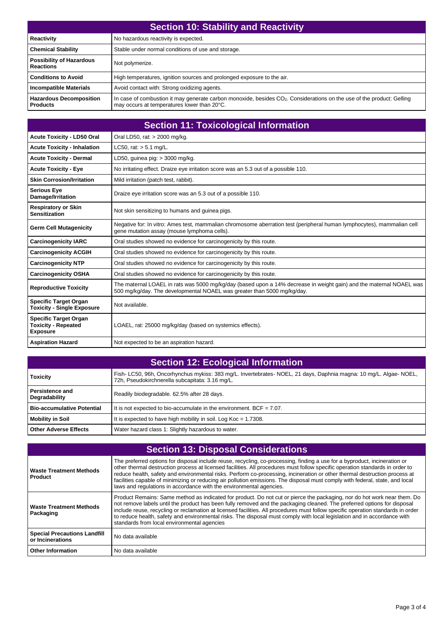| <b>Section 10: Stability and Reactivity</b>         |                                                                                                                                                                                   |  |  |
|-----------------------------------------------------|-----------------------------------------------------------------------------------------------------------------------------------------------------------------------------------|--|--|
| Reactivity                                          | No hazardous reactivity is expected.                                                                                                                                              |  |  |
| <b>Chemical Stability</b>                           | Stable under normal conditions of use and storage.                                                                                                                                |  |  |
| <b>Possibility of Hazardous</b><br><b>Reactions</b> | Not polymerize.                                                                                                                                                                   |  |  |
| <b>Conditions to Avoid</b>                          | High temperatures, ignition sources and prolonged exposure to the air.                                                                                                            |  |  |
| <b>Incompatible Materials</b>                       | Avoid contact with: Strong oxidizing agents.                                                                                                                                      |  |  |
| <b>Hazardous Decomposition</b><br><b>Products</b>   | In case of combustion it may generate carbon monoxide, besides CO <sub>2</sub> . Considerations on the use of the product: Gelling<br>may occurs at temperatures lower than 20°C. |  |  |

| <b>Section 11: Toxicological Information</b>                                  |                                                                                                                                                                                                |  |  |
|-------------------------------------------------------------------------------|------------------------------------------------------------------------------------------------------------------------------------------------------------------------------------------------|--|--|
| <b>Acute Toxicity - LD50 Oral</b>                                             | Oral LD50, rat: > 2000 mg/kg.                                                                                                                                                                  |  |  |
| <b>Acute Toxicity - Inhalation</b>                                            | LC50, rat: $> 5.1$ mg/L.                                                                                                                                                                       |  |  |
| <b>Acute Toxicity - Dermal</b>                                                | LD50, guinea pig: $>$ 3000 mg/kg.                                                                                                                                                              |  |  |
| <b>Acute Toxicity - Eye</b>                                                   | No irritating effect. Draize eye irritation score was an 5.3 out of a possible 110.                                                                                                            |  |  |
| <b>Skin Corrosion/Irritation</b>                                              | Mild irritation (patch test, rabbit).                                                                                                                                                          |  |  |
| <b>Serious Eye</b><br>Damage/Irritation                                       | Draize eye irritation score was an 5.3 out of a possible 110.                                                                                                                                  |  |  |
| <b>Respiratory or Skin</b><br><b>Sensitization</b>                            | Not skin sensitizing to humans and guinea pigs.                                                                                                                                                |  |  |
| <b>Germ Cell Mutagenicity</b>                                                 | Negative for: In vitro: Ames test, mammalian chromosome aberration test (peripheral human lymphocytes), mammalian cell<br>gene mutation assay (mouse lymphoma cells).                          |  |  |
| <b>Carcinogenicity IARC</b>                                                   | Oral studies showed no evidence for carcinogenicity by this route.                                                                                                                             |  |  |
| <b>Carcinogenicity ACGIH</b>                                                  | Oral studies showed no evidence for carcinogenicity by this route.                                                                                                                             |  |  |
| <b>Carcinogenicity NTP</b>                                                    | Oral studies showed no evidence for carcinogenicity by this route.                                                                                                                             |  |  |
| <b>Carcinogenicity OSHA</b>                                                   | Oral studies showed no evidence for carcinogenicity by this route.                                                                                                                             |  |  |
| <b>Reproductive Toxicity</b>                                                  | The maternal LOAEL in rats was 5000 mg/kg/day (based upon a 14% decrease in weight gain) and the maternal NOAEL was<br>500 mg/kg/day. The developmental NOAEL was greater than 5000 mg/kg/day. |  |  |
| <b>Specific Target Organ</b><br><b>Toxicity - Single Exposure</b>             | Not available.                                                                                                                                                                                 |  |  |
| <b>Specific Target Organ</b><br><b>Toxicity - Repeated</b><br><b>Exposure</b> | LOAEL, rat: 25000 mg/kg/day (based on systemics effects).                                                                                                                                      |  |  |
| <b>Aspiration Hazard</b>                                                      | Not expected to be an aspiration hazard.                                                                                                                                                       |  |  |

|  | <b>Section 12: Ecological Information</b> |  |
|--|-------------------------------------------|--|
|  |                                           |  |

| <b>Toxicity</b>                  | Fish-LC50, 96h, Oncorhynchus mykiss: 383 mg/L. Invertebrates-NOEL, 21 days, Daphnia magna: 10 mg/L. Algae-NOEL,<br>72h, Pseudokirchnerella subcapitata: 3.16 mg/L. |
|----------------------------------|--------------------------------------------------------------------------------------------------------------------------------------------------------------------|
| Persistence and<br>Degradability | Readily biodegradable. 62.5% after 28 days.                                                                                                                        |
| l Bio-accumulative Potential     | It is not expected to bio-accumulate in the environment. BCF = $7.07$ .                                                                                            |
| l Mobility in Soil               | It is expected to have high mobility in soil. Log $Koc = 1.7308$ .                                                                                                 |
| <b>Other Adverse Effects</b>     | Water hazard class 1: Slightly hazardous to water.                                                                                                                 |

| <b>Section 13: Disposal Considerations</b>              |                                                                                                                                                                                                                                                                                                                                                                                                                                                                                                                                                                                                   |  |
|---------------------------------------------------------|---------------------------------------------------------------------------------------------------------------------------------------------------------------------------------------------------------------------------------------------------------------------------------------------------------------------------------------------------------------------------------------------------------------------------------------------------------------------------------------------------------------------------------------------------------------------------------------------------|--|
| <b>Waste Treatment Methods</b><br>Product               | The preferred options for disposal include reuse, recycling, co-processing, finding a use for a byproduct, incineration or<br>other thermal destruction process at licensed facilities. All procedures must follow specific operation standards in order to<br>reduce health, safety and environmental risks. Perform co-processing, incineration or other thermal destruction process at<br>facilities capable of minimizing or reducing air pollution emissions. The disposal must comply with federal, state, and local<br>laws and regulations in accordance with the environmental agencies. |  |
| <b>Waste Treatment Methods</b><br>Packaging             | Product Remains: Same method as indicated for product. Do not cut or pierce the packaging, nor do hot work near them. Do<br>not remove labels until the product has been fully removed and the packaging cleaned. The preferred options for disposal<br>include reuse, recycling or reclamation at licensed facilities. All procedures must follow specific operation standards in order<br>to reduce health, safety and environmental risks. The disposal must comply with local legislation and in accordance with<br>standards from local environmental agencies                               |  |
| <b>Special Precautions Landfill</b><br>or Incinerations | No data available                                                                                                                                                                                                                                                                                                                                                                                                                                                                                                                                                                                 |  |
| <b>Other Information</b>                                | No data available                                                                                                                                                                                                                                                                                                                                                                                                                                                                                                                                                                                 |  |